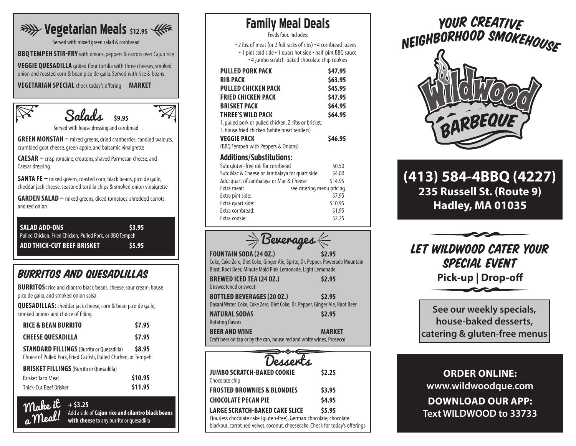# **RAYLY Vegetarian Meals** \$12.95  $445$

Served with mixed green salad & cornbread

**BBQ TEMPEH STIR-FRY** with onions, peppers & carrots over Cajun rice

**VEGGIE QUESADILLA** grilled flour tortilla with three cheeses, smoked onion and roasted corn & bean pico de gallo. Served with rice & beans

**VEGETARIAN SPECIAL** check today's offering **MARKET**



Salads **\$9.95**

Served with house dressing and cornbread

**GREEN MONSTAH –** mixed greens, dried cranberries, candied walnuts, crumbled goat cheese, green apple, and balsamic vinaigrette

**CAESAR –** crisp romaine, croutons, shaved Parmesan cheese, and Caesar dressing

**SANTA FE –** mixed greens, roasted corn, black beans, pico de gallo, cheddar jack cheese, seasoned tortilla chips & smoked onion vinaigrette

**GARDEN SALAD –** mixed greens, diced tomatoes, shredded carrots and red onion

**SALAD ADD-ONS \$3.95** Pulled Chicken, Fried Chicken, Pulled Pork, or BBQ Tempeh **ADD THICK-CUT BEEF BRISKET \$5.95**

## BURRITOS AND QUESADLILLAS

**BURRITOS:** rice and cilantro black beans, cheese, sour cream, house pico de gallo, and smoked onion salsa.

**QUESADILLAS:** cheddar jack cheese, corn & bean pico de gallo, smoked onions and choice of filling

| <b>RICE &amp; BEAN BURRITO</b>                                                                                      | \$7.95 |
|---------------------------------------------------------------------------------------------------------------------|--------|
| <b>CHEESE QUESADILLA</b>                                                                                            | \$7.95 |
| <b>STANDARD FILLINGS</b> (Burrito or Quesadilla)<br>Choice of Pulled Pork, Fried Catfish, Pulled Chicken, or Tempeh | \$8.95 |
| <b>BRISKET FILLINGS</b> (Burrito or Ouesadilla)                                                                     |        |

| Brisket Taco Meat      |  | \$10.95 |
|------------------------|--|---------|
| Thick-Cut Beef Brisket |  | \$11.95 |

**+ \$3.25** Add a side of **Cajun rice and cilantro black beans with cheese** to any burrito or quesadilla Make it a Meal!

| <b>Family Meal Deals</b><br>Feeds four. Includes:                                                                                                                                                                                                                                                       |                                                                           |
|---------------------------------------------------------------------------------------------------------------------------------------------------------------------------------------------------------------------------------------------------------------------------------------------------------|---------------------------------------------------------------------------|
| • 2 lbs. of meat (or 2 full racks of ribs) • 4 cornbread loaves<br>• 1 pint cold side • 1 quart hot side • half-pint BBQ sauce<br>• 4 jumbo scratch-baked chocolate chip cookies                                                                                                                        |                                                                           |
| <b>PULLED PORK PACK</b><br><b>RIB PACK</b><br>PULLED CHICKEN PACK<br><b>FRIED CHICKEN PACK</b><br><b>BRISKET PACK</b><br>THREE'S WILD PACK<br>1. pulled pork or pulled chicken, 2. ribs or brisket,<br>3. house fried chicken (white meat tenders)<br>VEGGIE PACK<br>(BBQ Tempeh with Peppers & Onions) | \$47.95<br>\$63.95<br>\$45.95<br>\$47.95<br>\$64.95<br>\$64.95<br>\$46.95 |
| <b>Additions/Substitutions:</b><br>Sub: gluten-free roll for cornbread<br>Sub: Mac & Cheese or Jambalaya for quart side                                                                                                                                                                                 | \$0.50<br>\$4.00                                                          |

| Sub: Mac & Cheese or Jambalaya for quart side |                           | S4.00   |
|-----------------------------------------------|---------------------------|---------|
| Add: quart of Jambalaya or Mac & Cheese       |                           | \$14.95 |
| Extra meat:                                   | see catering menu pricing |         |
| Extra pint side:                              |                           | \$7.95  |
| Extra quart side:                             |                           | \$10.95 |
| Extra cornbread:                              |                           | \$1.95  |
| Extra cookie:                                 |                           | \$2.25  |
|                                               |                           |         |



**FOUNTAIN SODA (24 OZ.) \$2.95** Coke, Coke Zero, Diet Coke, Ginger Ale, Sprite, Dr. Pepper, Powerade Mountain Blast, Root Beer, Minute Maid Pink Lemonade, Light Lemonade

| <b>BREWED ICED TEA (24 OZ.)</b>                                             | \$2.95        |
|-----------------------------------------------------------------------------|---------------|
| <b>Unsweetened or sweet</b>                                                 |               |
| <b>BOTTLED BEVERAGES (20 OZ.)</b>                                           | \$2.95        |
| Dasani Water, Coke, Coke Zero, Diet Coke, Dr. Pepper, Ginger Ale, Root Beer |               |
| <b>NATURAL SODAS</b>                                                        | \$2.95        |
| <b>Rotating flavors</b>                                                     |               |
| <b>BEER AND WINE</b>                                                        | <b>MARKET</b> |
| Craft beer on tap or by the can, house red and white wines, Prosecco        |               |



YOUR CREATIVE NEIGHBORHOOD SMOKEHOUSE

**(413) 584-4BBQ (4227) 235 Russell St. (Route 9) Hadley, MA 01035**

**ARBEQUE** 



**See our weekly specials, house-baked desserts, catering & gluten-free menus**

**ORDER ONLINE: www.wildwoodque.com DOWNLOAD OUR APP: Text WILDWOOD to 33733**